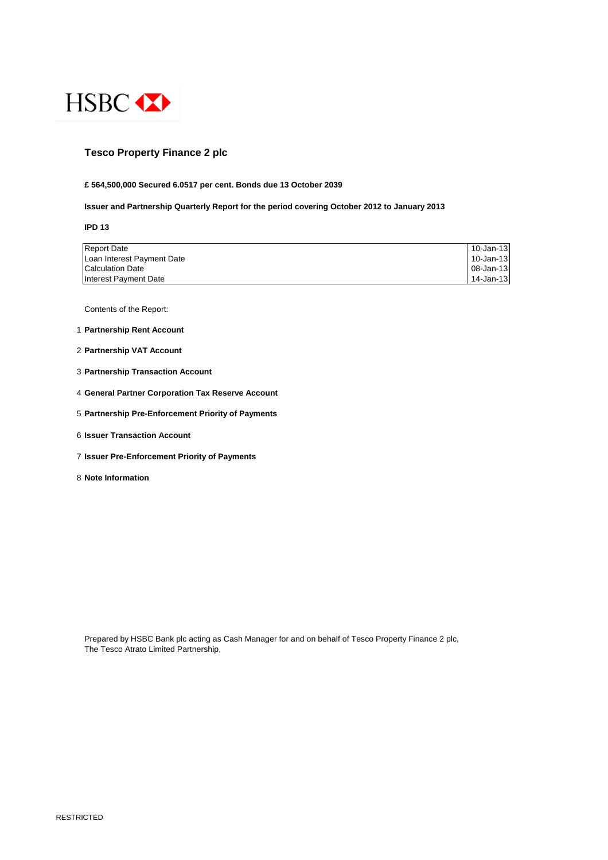

## **Tesco Property Finance 2 plc**

### **£ 564,500,000 Secured 6.0517 per cent. Bonds due 13 October 2039**

### **Issuer and Partnership Quarterly Report for the period covering October 2012 to January 2013**

**IPD 13**

| <b>Report Date</b>         | 10-Jan-13 |
|----------------------------|-----------|
| Loan Interest Payment Date | 10-Jan-13 |
| <b>Calculation Date</b>    | 08-Jan-13 |
| Interest Payment Date      | 14-Jan-13 |

Contents of the Report:

- 1 **Partnership Rent Account**
- 2 **Partnership VAT Account**
- 3 **Partnership Transaction Account**
- 4 **General Partner Corporation Tax Reserve Account**
- 5 **Partnership Pre-Enforcement Priority of Payments**
- 6 **Issuer Transaction Account**
- 7 **Issuer Pre-Enforcement Priority of Payments**
- 8 **Note Information**

Prepared by HSBC Bank plc acting as Cash Manager for and on behalf of Tesco Property Finance 2 plc, The Tesco Atrato Limited Partnership,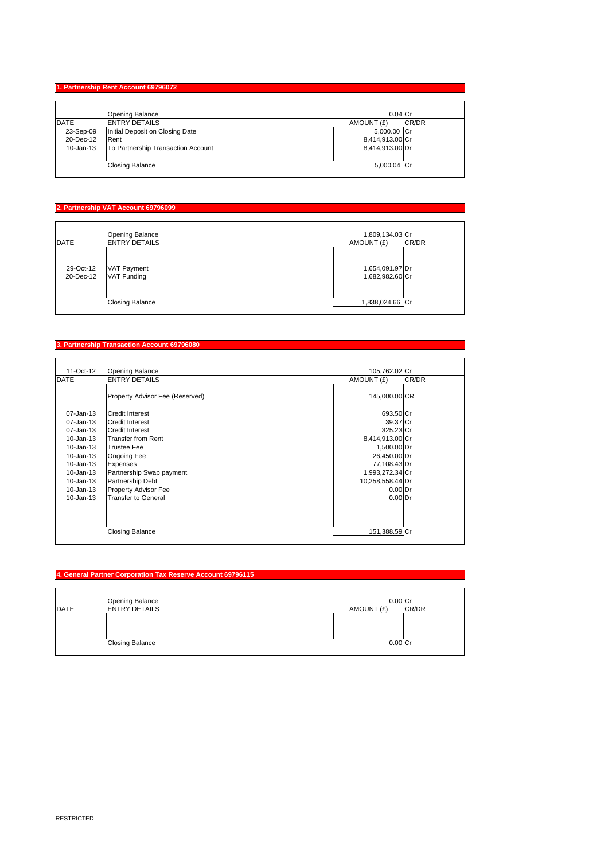## **1. Partnership Rent Account 69796072**

|             | Opening Balance                    | $0.04$ Cr           |
|-------------|------------------------------------|---------------------|
| <b>DATE</b> | <b>ENTRY DETAILS</b>               | CR/DR<br>AMOUNT (£) |
| 23-Sep-09   | Initial Deposit on Closing Date    | 5,000.00 Cr         |
| 20-Dec-12   | Rent                               | 8,414,913.00 Cr     |
| 10-Jan-13   | To Partnership Transaction Account | 8,414,913.00 Dr     |
|             | <b>Closing Balance</b>             | 5,000.04 Cr         |

# **2. Partnership VAT Account 69796099**

|                        | Opening Balance                          | 1,809,134.03 Cr                    |
|------------------------|------------------------------------------|------------------------------------|
| <b>DATE</b>            | <b>ENTRY DETAILS</b>                     | AMOUNT (£)<br>CR/DR                |
| 29-Oct-12<br>20-Dec-12 | <b>VAT Payment</b><br><b>VAT Funding</b> | 1,654,091.97 Dr<br>1,682,982.60 Cr |
|                        | <b>Closing Balance</b>                   | 1,838,024.66 Cr                    |

## **3. Partnership Transaction Account 69796080**

| 11-Oct-12     | <b>Opening Balance</b>          | 105,762.02 Cr       |
|---------------|---------------------------------|---------------------|
| <b>DATE</b>   | <b>ENTRY DETAILS</b>            | CR/DR<br>AMOUNT (£) |
|               | Property Advisor Fee (Reserved) | 145,000.00 CR       |
| 07-Jan-13     | Credit Interest                 | 693.50 Cr           |
| 07-Jan-13     | <b>Credit Interest</b>          | 39.37 Cr            |
| 07-Jan-13     | <b>Credit Interest</b>          | 325.23 Cr           |
| $10 - Jan-13$ | <b>Transfer from Rent</b>       | 8,414,913.00 Cr     |
| 10-Jan-13     | <b>Trustee Fee</b>              | 1,500.00 Dr         |
| $10 - Jan-13$ | Ongoing Fee                     | 26,450.00 Dr        |
| $10 - Jan-13$ | Expenses                        | 77,108.43 Dr        |
| $10 - Jan-13$ | Partnership Swap payment        | 1,993,272.34 Cr     |
| 10-Jan-13     | <b>Partnership Debt</b>         | 10,258,558.44 Dr    |
| 10-Jan-13     | Property Advisor Fee            | $0.00$ Dr           |
| $10 - Jan-13$ | <b>Transfer to General</b>      | $0.00$ Dr           |
|               |                                 |                     |
|               | <b>Closing Balance</b>          | 151,388.59 Cr       |

## **4. General Partner Corporation Tax Reserve Account 69796115**

|                        | Opening Balance      | $0.00$ Cr           |  |
|------------------------|----------------------|---------------------|--|
| <b>DATE</b>            | <b>ENTRY DETAILS</b> | CR/DR<br>AMOUNT (£) |  |
|                        |                      |                     |  |
| <b>Closing Balance</b> |                      | $0.00C$ r           |  |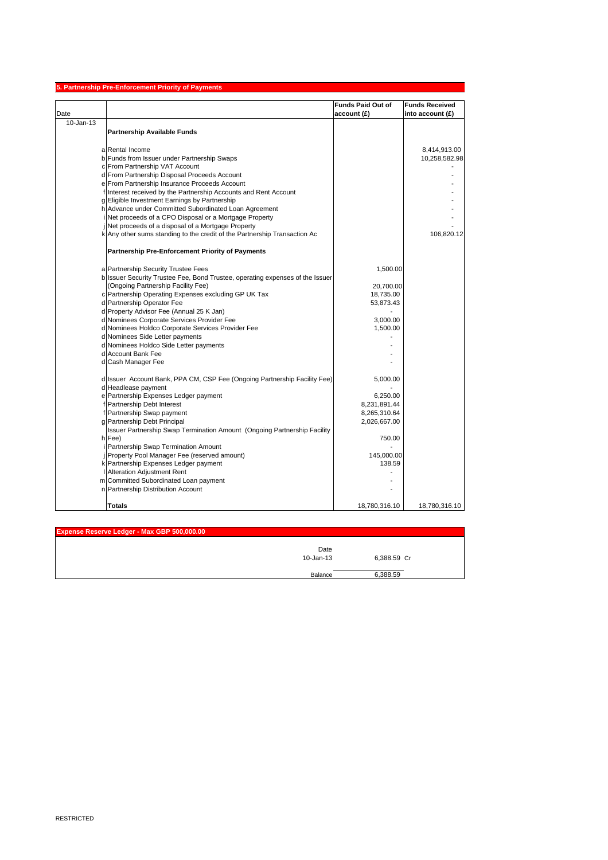|           | 5. Partnership Pre-Enforcement Priority of Payments                                                    |                          |                       |
|-----------|--------------------------------------------------------------------------------------------------------|--------------------------|-----------------------|
|           |                                                                                                        | <b>Funds Paid Out of</b> | <b>Funds Received</b> |
| Date      |                                                                                                        | account(E)               | into account $(E)$    |
| 10-Jan-13 |                                                                                                        |                          |                       |
|           | Partnership Available Funds                                                                            |                          |                       |
|           |                                                                                                        |                          |                       |
|           | a Rental Income                                                                                        |                          | 8,414,913.00          |
|           | b Funds from Issuer under Partnership Swaps                                                            |                          | 10,258,582.98         |
|           | c From Partnership VAT Account                                                                         |                          |                       |
|           | d From Partnership Disposal Proceeds Account                                                           |                          |                       |
|           | e From Partnership Insurance Proceeds Account                                                          |                          |                       |
|           | f Interest received by the Partnership Accounts and Rent Account                                       |                          |                       |
|           | g Eligible Investment Earnings by Partnership<br>h Advance under Committed Subordinated Loan Agreement |                          |                       |
|           | Net proceeds of a CPO Disposal or a Mortgage Property                                                  |                          |                       |
|           | Net proceeds of a disposal of a Mortgage Property                                                      |                          |                       |
|           | k Any other sums standing to the credit of the Partnership Transaction Ac                              |                          | 106,820.12            |
|           |                                                                                                        |                          |                       |
|           | <b>Partnership Pre-Enforcement Priority of Payments</b>                                                |                          |                       |
|           | a Partnership Security Trustee Fees                                                                    | 1,500.00                 |                       |
|           | b Issuer Security Trustee Fee, Bond Trustee, operating expenses of the Issuer                          |                          |                       |
|           | (Ongoing Partnership Facility Fee)                                                                     | 20,700.00                |                       |
|           | c Partnership Operating Expenses excluding GP UK Tax                                                   | 18,735.00                |                       |
|           | d Partnership Operator Fee                                                                             | 53,873.43                |                       |
|           | d Property Advisor Fee (Annual 25 K Jan)                                                               |                          |                       |
|           | d Nominees Corporate Services Provider Fee                                                             | 3,000.00                 |                       |
|           | d Nominees Holdco Corporate Services Provider Fee                                                      | 1,500.00                 |                       |
|           | d Nominees Side Letter payments                                                                        |                          |                       |
|           | d Nominees Holdco Side Letter payments                                                                 |                          |                       |
|           | d Account Bank Fee                                                                                     |                          |                       |
|           | d Cash Manager Fee                                                                                     |                          |                       |
|           | d Issuer Account Bank, PPA CM, CSP Fee (Ongoing Partnership Facility Fee)                              | 5,000.00                 |                       |
|           | d Headlease payment                                                                                    |                          |                       |
|           | e Partnership Expenses Ledger payment                                                                  | 6,250.00                 |                       |
|           | f Partnership Debt Interest                                                                            | 8,231,891.44             |                       |
|           | f Partnership Swap payment                                                                             | 8,265,310.64             |                       |
|           | g Partnership Debt Principal                                                                           | 2,026,667.00             |                       |
|           | Issuer Partnership Swap Termination Amount (Ongoing Partnership Facility                               |                          |                       |
|           | h Fee)                                                                                                 | 750.00                   |                       |
|           | Partnership Swap Termination Amount                                                                    |                          |                       |
|           | Property Pool Manager Fee (reserved amount)                                                            | 145,000.00<br>138.59     |                       |
|           | k Partnership Expenses Ledger payment<br><b>Alteration Adjustment Rent</b>                             |                          |                       |
|           | m Committed Subordinated Loan payment                                                                  |                          |                       |
|           | n Partnership Distribution Account                                                                     |                          |                       |
|           |                                                                                                        |                          |                       |
|           | <b>Totals</b>                                                                                          | 18,780,316.10            | 18,780,316.10         |

| Expense Reserve Ledger - Max GBP 500,000.00 |                   |             |  |
|---------------------------------------------|-------------------|-------------|--|
|                                             | Date<br>10-Jan-13 | 6,388.59 Cr |  |
|                                             | Balance           | 6.388.59    |  |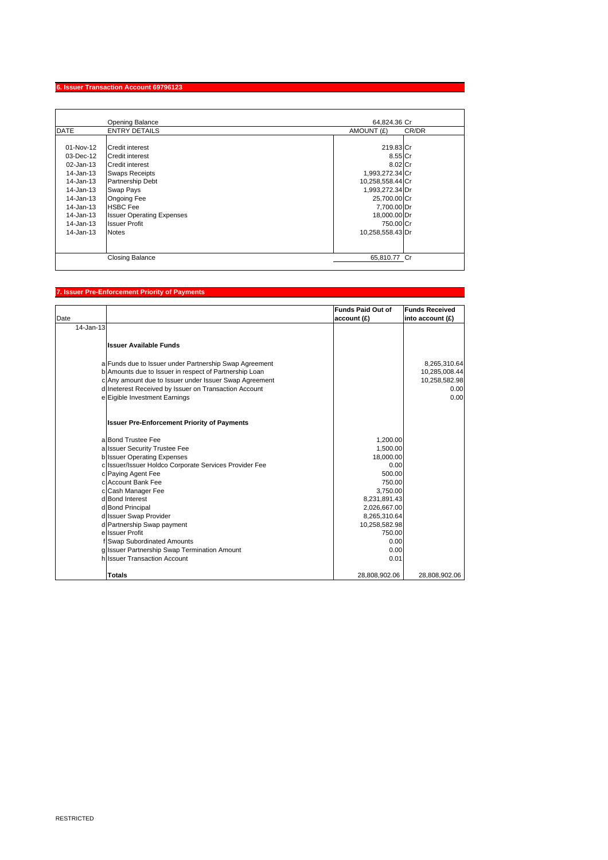### **6. Issuer Transaction Account 69796123**

|                                                                                                                                                           | Opening Balance                                                                                                                                                                                                                             | 64.824.36 Cr                                                                                                                                                              |       |
|-----------------------------------------------------------------------------------------------------------------------------------------------------------|---------------------------------------------------------------------------------------------------------------------------------------------------------------------------------------------------------------------------------------------|---------------------------------------------------------------------------------------------------------------------------------------------------------------------------|-------|
| <b>DATE</b>                                                                                                                                               | <b>ENTRY DETAILS</b>                                                                                                                                                                                                                        | AMOUNT (£)                                                                                                                                                                | CR/DR |
| $01-Nov-12$<br>$03$ -Dec-12<br>02-Jan-13<br>$14$ -Jan-13<br>14-Jan-13<br>14-Jan-13<br>14-Jan-13<br>14-Jan-13<br>$14$ -Jan-13<br>14-Jan-13<br>$14$ -Jan-13 | Credit interest<br>Credit interest<br><b>Credit interest</b><br><b>Swaps Receipts</b><br>Partnership Debt<br>Swap Pays<br><b>Ongoing Fee</b><br><b>HSBC</b> Fee<br><b>Issuer Operating Expenses</b><br><b>Issuer Profit</b><br><b>Notes</b> | 219.83 Cr<br>8.55 Cr<br>8.02 Cr<br>1,993,272.34 Cr<br>10,258,558.44 Cr<br>1,993,272.34 Dr<br>25,700.00 Cr<br>7,700.00 Dr<br>18,000.00 Dr<br>750.00 Cr<br>10,258,558.43 Dr |       |
|                                                                                                                                                           | <b>Closing Balance</b>                                                                                                                                                                                                                      | 65.810.77 Cr                                                                                                                                                              |       |

## **7. Issuer Pre-Enforcement Priority of Payments**

| Date      |                                                        | <b>Funds Paid Out of</b><br>account (£) | <b>Funds Received</b><br>into account (£) |
|-----------|--------------------------------------------------------|-----------------------------------------|-------------------------------------------|
| 14-Jan-13 |                                                        |                                         |                                           |
|           | <b>Issuer Available Funds</b>                          |                                         |                                           |
|           | a Funds due to Issuer under Partnership Swap Agreement |                                         | 8,265,310.64                              |
|           | b Amounts due to Issuer in respect of Partnership Loan |                                         | 10,285,008.44                             |
|           | c Any amount due to Issuer under Issuer Swap Agreement |                                         | 10,258,582.98                             |
|           | d Ineterest Received by Issuer on Transaction Account  |                                         | 0.00                                      |
|           | e Eigible Investment Earnings                          |                                         | 0.00                                      |
|           | <b>Issuer Pre-Enforcement Priority of Payments</b>     |                                         |                                           |
|           | a Bond Trustee Fee                                     | 1,200.00                                |                                           |
|           | a Issuer Security Trustee Fee                          | 1,500.00                                |                                           |
|           | <b>b</b> Issuer Operating Expenses                     | 18,000.00                               |                                           |
|           | c Issuer/Issuer Holdco Corporate Services Provider Fee | 0.00                                    |                                           |
|           | c Paying Agent Fee                                     | 500.00                                  |                                           |
|           | c Account Bank Fee                                     | 750.00                                  |                                           |
|           | c Cash Manager Fee<br>d Bond Interest                  | 3,750.00                                |                                           |
|           | d Bond Principal                                       | 8,231,891.43<br>2,026,667.00            |                                           |
|           | d Issuer Swap Provider                                 | 8,265,310.64                            |                                           |
|           | d Partnership Swap payment                             | 10,258,582.98                           |                                           |
|           | e Issuer Profit                                        | 750.00                                  |                                           |
|           | f Swap Subordinated Amounts                            | 0.00                                    |                                           |
|           | g Issuer Partnership Swap Termination Amount           | 0.00                                    |                                           |
|           | hilssuer Transaction Account                           | 0.01                                    |                                           |
|           | <b>Totals</b>                                          | 28,808,902.06                           | 28,808,902.06                             |